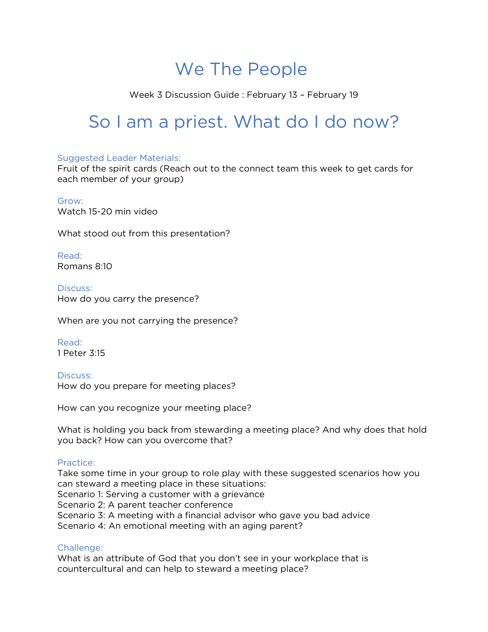# We The People

Week 3 Discussion Guide : February 13 – February 19

# So I am a priest. What do I do now?

### Suggested Leader Materials:

Fruit of the spirit cards (Reach out to the connect team this week to get cards for each member of your group)

## Grow:

Watch 15-20 min video

What stood out from this presentation?

Read: Romans 8:10

Discuss: How do you carry the presence?

When are you not carrying the presence?

Read: 1 Peter 3:15

Discuss: How do you prepare for meeting places?

How can you recognize your meeting place?

What is holding you back from stewarding a meeting place? And why does that hold you back? How can you overcome that?

### Practice:

Take some time in your group to role play with these suggested scenarios how you can steward a meeting place in these situations: Scenario 1: Serving a customer with a grievance Scenario 2: A parent teacher conference Scenario 3: A meeting with a financial advisor who gave you bad advice Scenario 4: An emotional meeting with an aging parent?

### Challenge:

What is an attribute of God that you don't see in your workplace that is countercultural and can help to steward a meeting place?